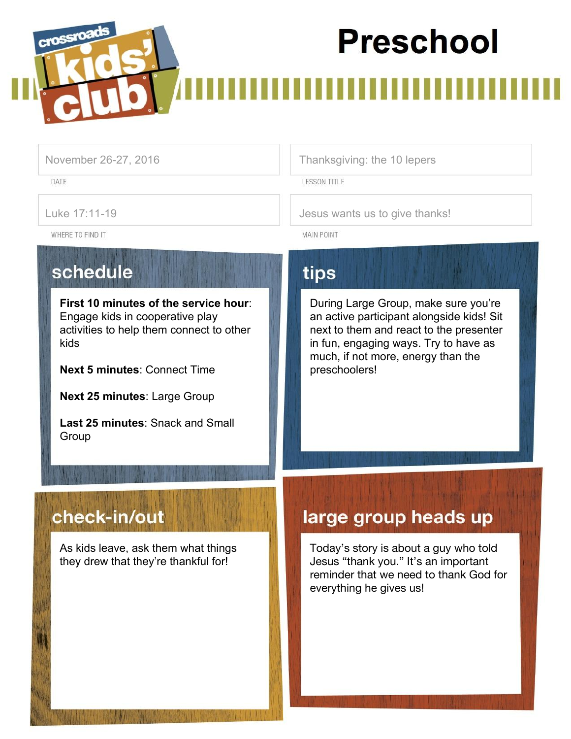# **Preschool**



DATE

November 26-27, 2016 Thanksgiving: the 10 lepers

**LESSON TITLE** 

Luke 17:11-19 **Jesus wants us to give thanks!** 

WHERE TO FIND IT

schedule

**First 10 minutes of the service hour**: Engage kids in cooperative play activities to help them connect to other kids

**Next 5 minutes**: Connect Time

**Next 25 minutes**: Large Group

**Last 25 minutes**: Snack and Small Group

## tips

**MAIN POINT** 

During Large Group, make sure you're an active participant alongside kids! Sit next to them and react to the presenter in fun, engaging ways. Try to have as much, if not more, energy than the preschoolers!

## check-in/out

As kids leave, ask them what things they drew that they're thankful for!

## large group heads up

Today's story is about a guy who told Jesus "thank you." It's an important reminder that we need to thank God for everything he gives us!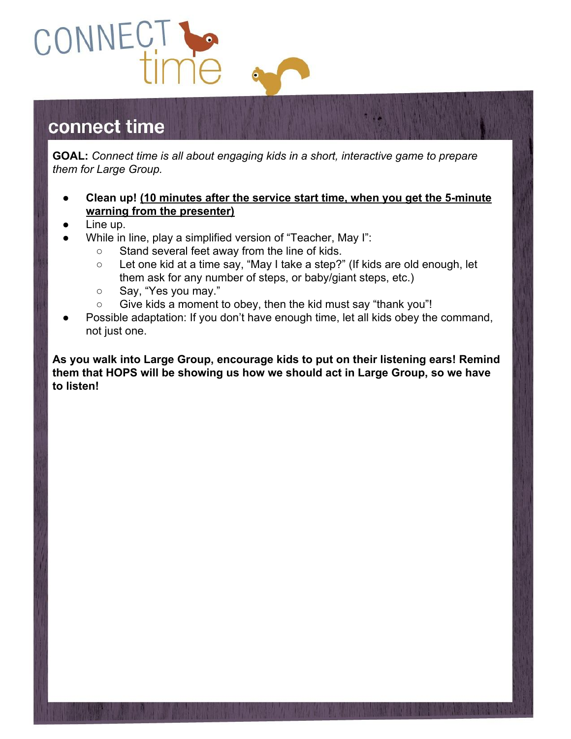

## connect time

**GOAL:** *Connect time is all about engaging kids in a short, interactive game to prepare them for Large Group.*

- **● Clean up! (10 minutes after the service start time, when you get the 5-minute warning from the presenter)**
- Line up.
- While in line, play a simplified version of "Teacher, May I":
	- Stand several feet away from the line of kids.
	- Let one kid at a time say, "May I take a step?" (If kids are old enough, let them ask for any number of steps, or baby/giant steps, etc.)
	- o Say, "Yes you may."
	- Give kids a moment to obey, then the kid must say "thank you"!
- Possible adaptation: If you don't have enough time, let all kids obey the command, not just one.

**As you walk into Large Group, encourage kids to put on their listening ears! Remind them that HOPS will be showing us how we should act in Large Group, so we have to listen!**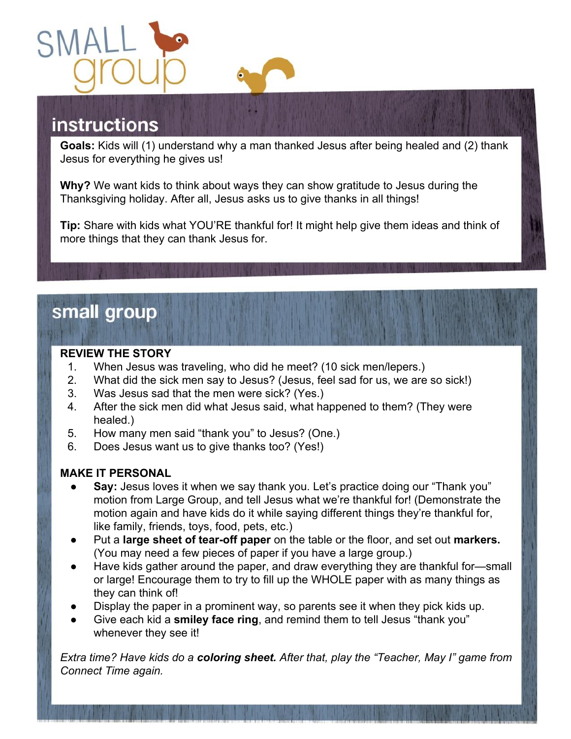

# **instructions**

**Goals:** Kids will (1) understand why a man thanked Jesus after being healed and (2) thank Jesus for everything he gives us!

**Why?** We want kids to think about ways they can show gratitude to Jesus during the Thanksgiving holiday. After all, Jesus asks us to give thanks in all things!

**Tip:** Share with kids what YOU'RE thankful for! It might help give them ideas and think of more things that they can thank Jesus for.

## small group

#### **REVIEW THE STORY**

- 1. When Jesus was traveling, who did he meet? (10 sick men/lepers.)
- 2. What did the sick men say to Jesus? (Jesus, feel sad for us, we are so sick!)
- 3. Was Jesus sad that the men were sick? (Yes.)
- 4. After the sick men did what Jesus said, what happened to them? (They were healed.)
- 5. How many men said "thank you" to Jesus? (One.)
- 6. Does Jesus want us to give thanks too? (Yes!)

#### **MAKE IT PERSONAL**

- **Say:** Jesus loves it when we say thank you. Let's practice doing our "Thank you" motion from Large Group, and tell Jesus what we're thankful for! (Demonstrate the motion again and have kids do it while saying different things they're thankful for, like family, friends, toys, food, pets, etc.)
- Put a **large sheet of tear-off paper** on the table or the floor, and set out **markers.** (You may need a few pieces of paper if you have a large group.)
- Have kids gather around the paper, and draw everything they are thankful for—small or large! Encourage them to try to fill up the WHOLE paper with as many things as they can think of!
- Display the paper in a prominent way, so parents see it when they pick kids up.
- Give each kid a **smiley face ring**, and remind them to tell Jesus "thank you" whenever they see it!

*Extra time? Have kids do a coloring sheet. After that, play the "Teacher, May I" game from Connect Time again.*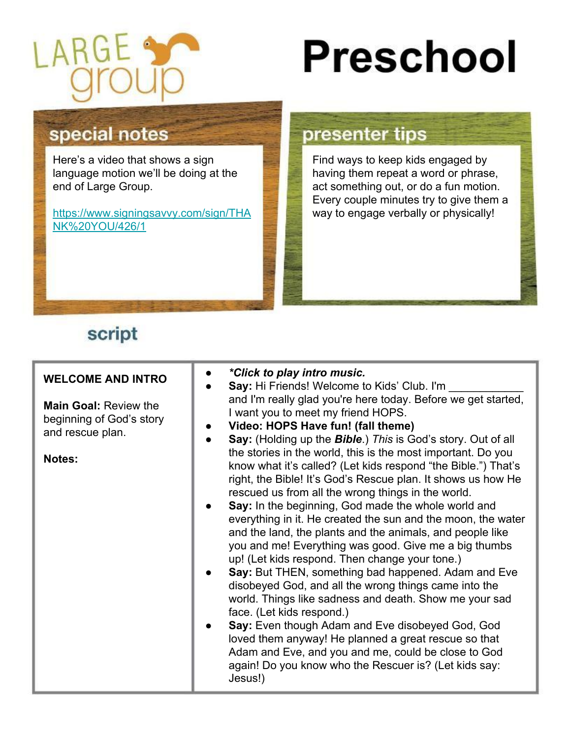

# **Preschool**

### special notes

Here's a video that shows a sign language motion we'll be doing at the end of Large Group.

[https://www.signingsavvy.com/sign/THA](https://www.signingsavvy.com/sign/THANK%20YOU/426/1) [NK%20YOU/426/1](https://www.signingsavvy.com/sign/THANK%20YOU/426/1)

#### presenter tips

Find ways to keep kids engaged by having them repeat a word or phrase, act something out, or do a fun motion. Every couple minutes try to give them a way to engage verbally or physically!

## script

| <b>WELCOME AND INTRO</b><br><b>Main Goal: Review the</b><br>beginning of God's story<br>and rescue plan.<br><b>Notes:</b> | *Click to play intro music.<br>Say: Hi Friends! Welcome to Kids' Club. I'm<br>and I'm really glad you're here today. Before we get started,<br>I want you to meet my friend HOPS.<br>Video: HOPS Have fun! (fall theme)<br>Say: (Holding up the Bible.) This is God's story. Out of all<br>the stories in the world, this is the most important. Do you<br>know what it's called? (Let kids respond "the Bible.") That's<br>right, the Bible! It's God's Rescue plan. It shows us how He<br>rescued us from all the wrong things in the world.<br>Say: In the beginning, God made the whole world and<br>everything in it. He created the sun and the moon, the water<br>and the land, the plants and the animals, and people like<br>you and me! Everything was good. Give me a big thumbs<br>up! (Let kids respond. Then change your tone.)<br>Say: But THEN, something bad happened. Adam and Eve<br>disobeyed God, and all the wrong things came into the<br>world. Things like sadness and death. Show me your sad<br>face. (Let kids respond.)<br>Say: Even though Adam and Eve disobeyed God, God<br>loved them anyway! He planned a great rescue so that<br>Adam and Eve, and you and me, could be close to God<br>again! Do you know who the Rescuer is? (Let kids say:<br>Jesus!) |
|---------------------------------------------------------------------------------------------------------------------------|---------------------------------------------------------------------------------------------------------------------------------------------------------------------------------------------------------------------------------------------------------------------------------------------------------------------------------------------------------------------------------------------------------------------------------------------------------------------------------------------------------------------------------------------------------------------------------------------------------------------------------------------------------------------------------------------------------------------------------------------------------------------------------------------------------------------------------------------------------------------------------------------------------------------------------------------------------------------------------------------------------------------------------------------------------------------------------------------------------------------------------------------------------------------------------------------------------------------------------------------------------------------------------------------|
|---------------------------------------------------------------------------------------------------------------------------|---------------------------------------------------------------------------------------------------------------------------------------------------------------------------------------------------------------------------------------------------------------------------------------------------------------------------------------------------------------------------------------------------------------------------------------------------------------------------------------------------------------------------------------------------------------------------------------------------------------------------------------------------------------------------------------------------------------------------------------------------------------------------------------------------------------------------------------------------------------------------------------------------------------------------------------------------------------------------------------------------------------------------------------------------------------------------------------------------------------------------------------------------------------------------------------------------------------------------------------------------------------------------------------------|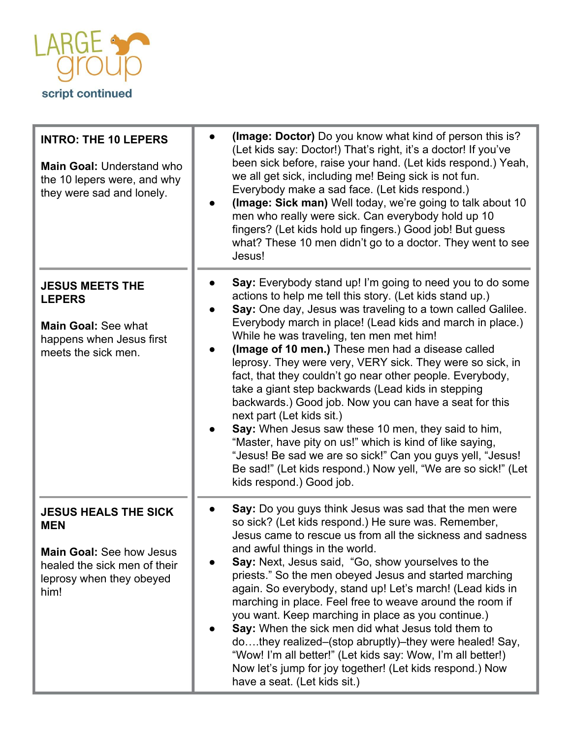

| <b>INTRO: THE 10 LEPERS</b><br>Main Goal: Understand who<br>the 10 lepers were, and why<br>they were sad and lonely.                             | (Image: Doctor) Do you know what kind of person this is?<br>(Let kids say: Doctor!) That's right, it's a doctor! If you've<br>been sick before, raise your hand. (Let kids respond.) Yeah,<br>we all get sick, including me! Being sick is not fun.<br>Everybody make a sad face. (Let kids respond.)<br>(Image: Sick man) Well today, we're going to talk about 10<br>men who really were sick. Can everybody hold up 10<br>fingers? (Let kids hold up fingers.) Good job! But guess<br>what? These 10 men didn't go to a doctor. They went to see<br>Jesus!                                                                                                                                                                                                                                                                                                                                           |
|--------------------------------------------------------------------------------------------------------------------------------------------------|---------------------------------------------------------------------------------------------------------------------------------------------------------------------------------------------------------------------------------------------------------------------------------------------------------------------------------------------------------------------------------------------------------------------------------------------------------------------------------------------------------------------------------------------------------------------------------------------------------------------------------------------------------------------------------------------------------------------------------------------------------------------------------------------------------------------------------------------------------------------------------------------------------|
| <b>JESUS MEETS THE</b><br><b>LEPERS</b><br><b>Main Goal: See what</b><br>happens when Jesus first<br>meets the sick men.                         | Say: Everybody stand up! I'm going to need you to do some<br>actions to help me tell this story. (Let kids stand up.)<br>Say: One day, Jesus was traveling to a town called Galilee.<br>Everybody march in place! (Lead kids and march in place.)<br>While he was traveling, ten men met him!<br>(Image of 10 men.) These men had a disease called<br>leprosy. They were very, VERY sick. They were so sick, in<br>fact, that they couldn't go near other people. Everybody,<br>take a giant step backwards (Lead kids in stepping<br>backwards.) Good job. Now you can have a seat for this<br>next part (Let kids sit.)<br>Say: When Jesus saw these 10 men, they said to him,<br>"Master, have pity on us!" which is kind of like saying,<br>"Jesus! Be sad we are so sick!" Can you guys yell, "Jesus!<br>Be sad!" (Let kids respond.) Now yell, "We are so sick!" (Let<br>kids respond.) Good job. |
| <b>JESUS HEALS THE SICK</b><br><b>MEN</b><br><b>Main Goal: See how Jesus</b><br>healed the sick men of their<br>leprosy when they obeyed<br>him! | Say: Do you guys think Jesus was sad that the men were<br>so sick? (Let kids respond.) He sure was. Remember,<br>Jesus came to rescue us from all the sickness and sadness<br>and awful things in the world.<br>Say: Next, Jesus said, "Go, show yourselves to the<br>priests." So the men obeyed Jesus and started marching<br>again. So everybody, stand up! Let's march! (Lead kids in<br>marching in place. Feel free to weave around the room if<br>you want. Keep marching in place as you continue.)<br>Say: When the sick men did what Jesus told them to<br>dothey realized–(stop abruptly)–they were healed! Say,<br>"Wow! I'm all better!" (Let kids say: Wow, I'm all better!)<br>Now let's jump for joy together! (Let kids respond.) Now<br>have a seat. (Let kids sit.)                                                                                                                  |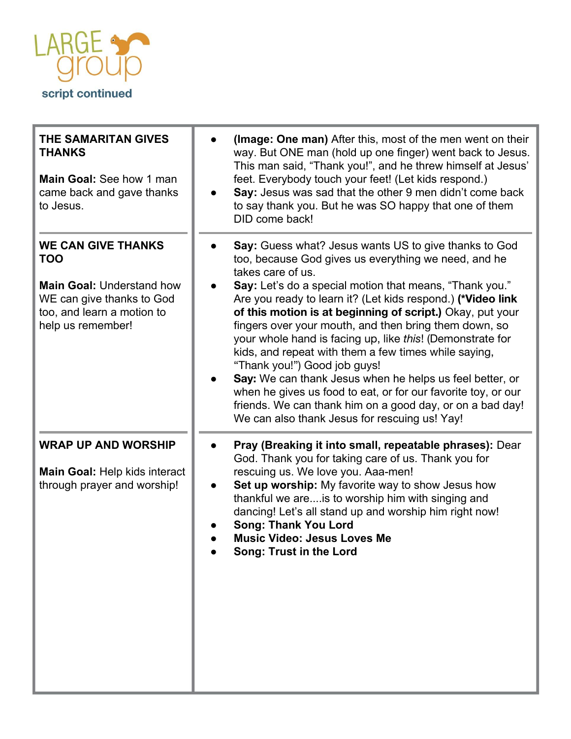

| <b>THE SAMARITAN GIVES</b><br><b>THANKS</b><br>Main Goal: See how 1 man<br>came back and gave thanks<br>to Jesus.                                           | (Image: One man) After this, most of the men went on their<br>way. But ONE man (hold up one finger) went back to Jesus.<br>This man said, "Thank you!", and he threw himself at Jesus'<br>feet. Everybody touch your feet! (Let kids respond.)<br>Say: Jesus was sad that the other 9 men didn't come back<br>to say thank you. But he was SO happy that one of them<br>DID come back!                                                                                                                                                                                                                                                                                                                                                                                             |
|-------------------------------------------------------------------------------------------------------------------------------------------------------------|------------------------------------------------------------------------------------------------------------------------------------------------------------------------------------------------------------------------------------------------------------------------------------------------------------------------------------------------------------------------------------------------------------------------------------------------------------------------------------------------------------------------------------------------------------------------------------------------------------------------------------------------------------------------------------------------------------------------------------------------------------------------------------|
| <b>WE CAN GIVE THANKS</b><br><b>TOO</b><br><b>Main Goal: Understand how</b><br>WE can give thanks to God<br>too, and learn a motion to<br>help us remember! | Say: Guess what? Jesus wants US to give thanks to God<br>too, because God gives us everything we need, and he<br>takes care of us.<br>Say: Let's do a special motion that means, "Thank you."<br>Are you ready to learn it? (Let kids respond.) (*Video link<br>of this motion is at beginning of script.) Okay, put your<br>fingers over your mouth, and then bring them down, so<br>your whole hand is facing up, like this! (Demonstrate for<br>kids, and repeat with them a few times while saying,<br>"Thank you!") Good job guys!<br>Say: We can thank Jesus when he helps us feel better, or<br>when he gives us food to eat, or for our favorite toy, or our<br>friends. We can thank him on a good day, or on a bad day!<br>We can also thank Jesus for rescuing us! Yay! |
| <b>WRAP UP AND WORSHIP</b><br>Main Goal: Help kids interact<br>through prayer and worship!                                                                  | Pray (Breaking it into small, repeatable phrases): Dear<br>God. Thank you for taking care of us. Thank you for<br>rescuing us. We love you. Aaa-men!<br>Set up worship: My favorite way to show Jesus how<br>thankful we are is to worship him with singing and<br>dancing! Let's all stand up and worship him right now!<br><b>Song: Thank You Lord</b><br><b>Music Video: Jesus Loves Me</b><br>Song: Trust in the Lord                                                                                                                                                                                                                                                                                                                                                          |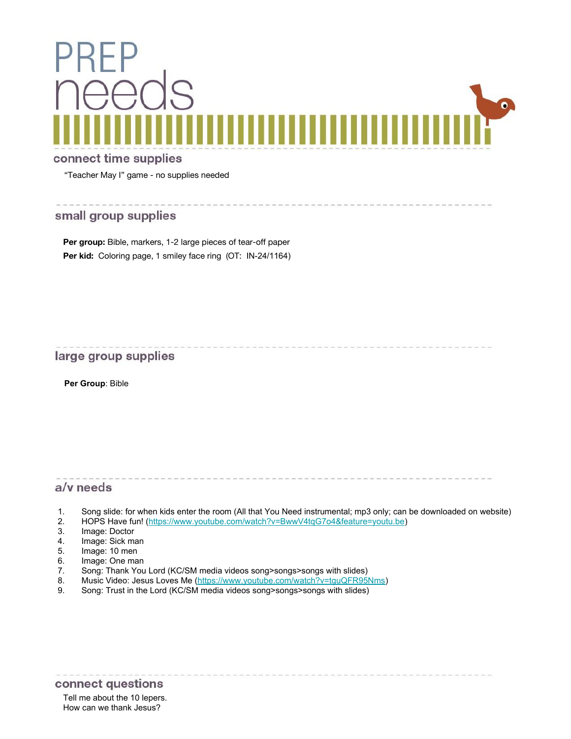

.<br>2010. – 2010. – 2010. – 2010. – 2010. – 2010. – 2010. – 2010. – 2010. – 2011. – 2012. – 2013. – 2014. – 2014.

#### connect time supplies

"Teacher May I" game - no supplies needed

#### small group supplies

Per group: Bible, markers, 1-2 large pieces of tear-off paper Per kid: Coloring page, 1 smiley face ring (OT: IN-24/1164)

#### large group supplies

**Per Group**: Bible

#### a/v needs

- 1. Song slide: for when kids enter the room (All that You Need instrumental; mp3 only; can be downloaded on website)
- 2. HOPS Have fun! [\(https://www.youtube.com/watch?v=BwwV4tqG7o4&feature=youtu.be](https://www.youtube.com/watch?v=BwwV4tqG7o4&feature=youtu.be))<br>3. Image: Doctor
- Image: Doctor
- 4. Image: Sick man
- 5. Image: 10 men
- 6. Image: One man
- 7. Song: Thank You Lord (KC/SM media videos song>songs>songs with slides)
- 8. Music Video: Jesus Loves Me (<https://www.youtube.com/watch?v=tguQFR95Nms>)
- 9. Song: Trust in the Lord (KC/SM media videos song>songs>songs with slides)

#### connect questions

Tell me about the 10 lepers. How can we thank Jesus?